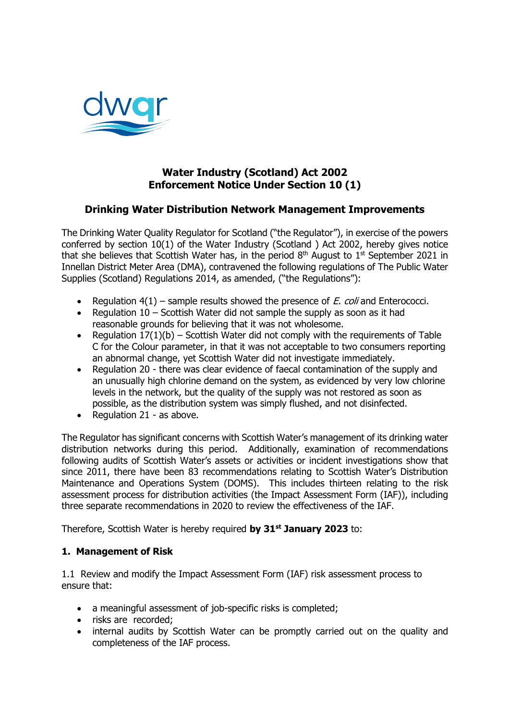

# **Water Industry (Scotland) Act 2002 Enforcement Notice Under Section 10 (1)**

## **Drinking Water Distribution Network Management Improvements**

The Drinking Water Quality Regulator for Scotland ("the Regulator"), in exercise of the powers conferred by section 10(1) of the Water Industry (Scotland ) Act 2002, hereby gives notice that she believes that Scottish Water has, in the period  $8<sup>th</sup>$  August to  $1<sup>st</sup>$  September 2021 in Innellan District Meter Area (DMA), contravened the following regulations of The Public Water Supplies (Scotland) Regulations 2014, as amended, ("the Regulations"):

- Regulation  $4(1)$  sample results showed the presence of *E. coli* and Enterococci.
- Regulation  $10$  Scottish Water did not sample the supply as soon as it had reasonable grounds for believing that it was not wholesome.
- Regulation  $17(1)(b)$  Scottish Water did not comply with the requirements of Table C for the Colour parameter, in that it was not acceptable to two consumers reporting an abnormal change, yet Scottish Water did not investigate immediately.
- Regulation 20 there was clear evidence of faecal contamination of the supply and an unusually high chlorine demand on the system, as evidenced by very low chlorine levels in the network, but the quality of the supply was not restored as soon as possible, as the distribution system was simply flushed, and not disinfected.
- Regulation  $21 as above$ .

The Regulator has significant concerns with Scottish Water's management of its drinking water distribution networks during this period. Additionally, examination of recommendations following audits of Scottish Water's assets or activities or incident investigations show that since 2011, there have been 83 recommendations relating to Scottish Water's Distribution Maintenance and Operations System (DOMS). This includes thirteen relating to the risk assessment process for distribution activities (the Impact Assessment Form (IAF)), including three separate recommendations in 2020 to review the effectiveness of the IAF.

Therefore, Scottish Water is hereby required **by 31st January 2023** to:

### **1. Management of Risk**

1.1 Review and modify the Impact Assessment Form (IAF) risk assessment process to ensure that:

- a meaningful assessment of job-specific risks is completed;
- risks are recorded;
- internal audits by Scottish Water can be promptly carried out on the quality and completeness of the IAF process.